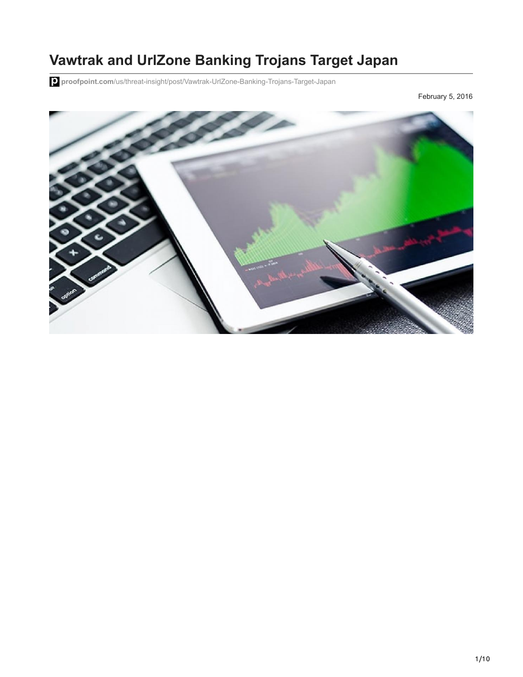# **Vawtrak and UrlZone Banking Trojans Target Japan**

**proofpoint.com**[/us/threat-insight/post/Vawtrak-UrlZone-Banking-Trojans-Target-Japan](https://www.proofpoint.com/us/threat-insight/post/Vawtrak-UrlZone-Banking-Trojans-Target-Japan)

February 5, 2016

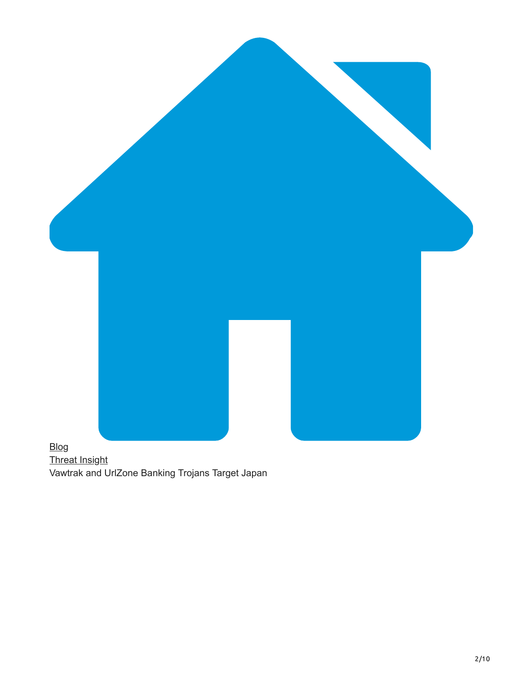

[Threat Insight](https://www.proofpoint.com/us/blog/threat-insight) Vawtrak and UrlZone Banking Trojans Target Japan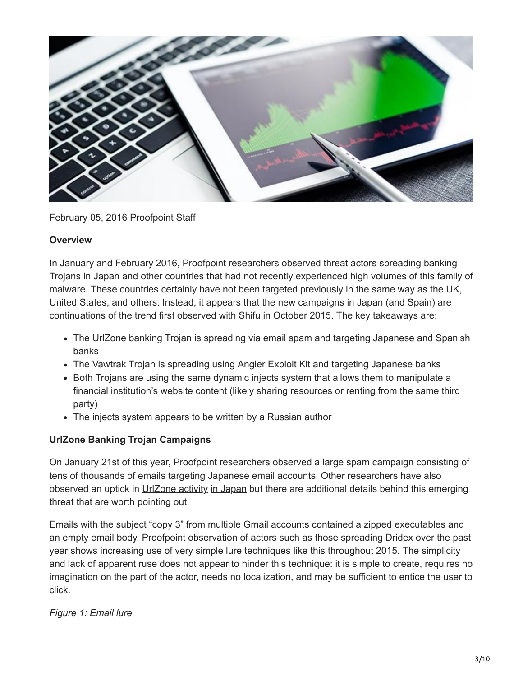

February 05, 2016 Proofpoint Staff

### **Overview**

In January and February 2016, Proofpoint researchers observed threat actors spreading banking Trojans in Japan and other countries that had not recently experienced high volumes of this family of malware. These countries certainly have not been targeted previously in the same way as the UK, United States, and others. Instead, it appears that the new campaigns in Japan (and Spain) are continuations of the trend first observed with [Shifu in October 2015.](https://www.proofpoint.com/us/threat-insight/post/dridex-shifu-give-spam-bots-day-off) The key takeaways are:

- The UrlZone banking Trojan is spreading via email spam and targeting Japanese and Spanish banks
- The Vawtrak Trojan is spreading using Angler Exploit Kit and targeting Japanese banks
- Both Trojans are using the same dynamic injects system that allows them to manipulate a financial institution's website content (likely sharing resources or renting from the same third party)
- The injects system appears to be written by a Russian author

# **UrlZone Banking Trojan Campaigns**

On January 21st of this year, Proofpoint researchers observed a large spam campaign consisting of tens of thousands of emails targeting Japanese email accounts. Other researchers have also observed an uptick in [UrlZone activity](https://securityintelligence.com/organized-cybercrime-big-in-japan-urlzone-now-on-the-scene) [in Japan](https://www.fireeye.com/blog/threat-research/2016/01/urlzone_zones_inon.html) but there are additional details behind this emerging threat that are worth pointing out.

Emails with the subject "copy 3" from multiple Gmail accounts contained a zipped executables and an empty email body. Proofpoint observation of actors such as those spreading Dridex over the past year shows increasing use of very simple lure techniques like this throughout 2015. The simplicity and lack of apparent ruse does not appear to hinder this technique: it is simple to create, requires no imagination on the part of the actor, needs no localization, and may be sufficient to entice the user to click.

*Figure 1: Email lure*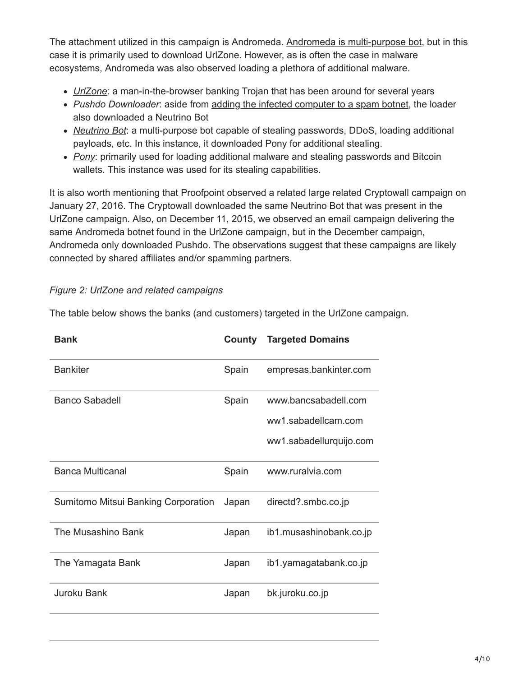The attachment utilized in this campaign is Andromeda. [Andromeda is multi-purpose bot,](https://blog.fortinet.com/post/a-good-look-at-the-andromeda-botnet) but in this case it is primarily used to download UrlZone. However, as is often the case in malware ecosystems, Andromeda was also observed loading a plethora of additional malware.

- *[UrlZone](http://www.arbornetworks.com/blog/asert/an-update-on-the-UrlZone-banker/)*: a man-in-the-browser banking Trojan that has been around for several years
- *Pushdo Downloader*: aside from [adding the infected computer to a spam botnet,](https://www.virusbtn.com/virusbulletin/archive/2013/04/vb201304-Pushdo) the loader also downloaded a Neutrino Bot
- *[Neutrino Bot](http://malware.dontneedcoffee.com/2014/06/neutrino-bot-aka-kasidet.html)*: a multi-purpose bot capable of stealing passwords, DDoS, loading additional payloads, etc. In this instance, it downloaded Pony for additional stealing.
- *[Pony](https://www.damballa.com/pony-loader-2-0-steals-credentials-bitcoin-wallets-source-code-sale/)*: primarily used for loading additional malware and stealing passwords and Bitcoin wallets. This instance was used for its stealing capabilities.

It is also worth mentioning that Proofpoint observed a related large related Cryptowall campaign on January 27, 2016. The Cryptowall downloaded the same Neutrino Bot that was present in the UrlZone campaign. Also, on December 11, 2015, we observed an email campaign delivering the same Andromeda botnet found in the UrlZone campaign, but in the December campaign, Andromeda only downloaded Pushdo. The observations suggest that these campaigns are likely connected by shared affiliates and/or spamming partners.

# *Figure 2: UrlZone and related campaigns*

| <b>Bank</b>                         | County | <b>Targeted Domains</b> |
|-------------------------------------|--------|-------------------------|
| <b>Bankiter</b>                     | Spain  | empresas.bankinter.com  |
| <b>Banco Sabadell</b>               | Spain  | www.bancsabadell.com    |
|                                     |        | ww1.sabadellcam.com     |
|                                     |        | ww1.sabadellurquijo.com |
| <b>Banca Multicanal</b>             | Spain  | www.ruralvia.com        |
| Sumitomo Mitsui Banking Corporation | Japan  | directd?.smbc.co.jp     |
| The Musashino Bank                  | Japan  | ib1.musashinobank.co.jp |
| The Yamagata Bank                   | Japan  | ib1.yamagatabank.co.jp  |
| Juroku Bank                         | Japan  | bk.juroku.co.jp         |

The table below shows the banks (and customers) targeted in the UrlZone campaign.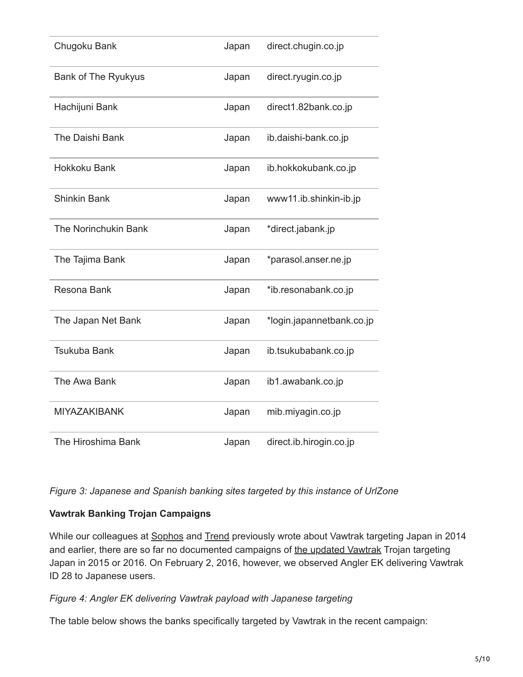| Chugoku Bank               | Japan | direct.chugin.co.jp       |
|----------------------------|-------|---------------------------|
| <b>Bank of The Ryukyus</b> | Japan | direct.ryugin.co.jp       |
| Hachijuni Bank             | Japan | direct1.82bank.co.jp      |
| The Daishi Bank            | Japan | ib.daishi-bank.co.jp      |
| <b>Hokkoku Bank</b>        | Japan | ib.hokkokubank.co.jp      |
| <b>Shinkin Bank</b>        | Japan | www11.ib.shinkin-ib.jp    |
| The Norinchukin Bank       | Japan | *direct.jabank.jp         |
| The Tajima Bank            | Japan | *parasol.anser.ne.jp      |
| Resona Bank                | Japan | *ib.resonabank.co.jp      |
| The Japan Net Bank         | Japan | *login.japannetbank.co.jp |
| <b>Tsukuba Bank</b>        | Japan | ib.tsukubabank.co.jp      |
| The Awa Bank               | Japan | ib1.awabank.co.jp         |
| <b>MIYAZAKIBANK</b>        | Japan | mib.miyagin.co.jp         |
| The Hiroshima Bank         | Japan | direct.ib.hirogin.co.jp   |

*Figure 3: Japanese and Spanish banking sites targeted by this instance of UrlZone*

## **Vawtrak Banking Trojan Campaigns**

While our colleagues at [Sophos](https://www.sophos.com/en-us/medialibrary/PDFs/technical%20papers/sophos-vawtrak-international-crimeware-as-a-service-tpna.pdf) and [Trend](http://www.trendmicro.com.au/vinfo/au/threat-encyclopedia/web-attack/3141/vawtrak-plagues-users-in-japan) previously wrote about Vawtrak targeting Japan in 2014 and earlier, there are so far no documented campaigns of [the updated Vawtrak](https://www.proofpoint.com/us/threat-insight/post/In-The-Shadows) Trojan targeting Japan in 2015 or 2016. On February 2, 2016, however, we observed Angler EK delivering Vawtrak ID 28 to Japanese users.

## *Figure 4: Angler EK delivering Vawtrak payload with Japanese targeting*

The table below shows the banks specifically targeted by Vawtrak in the recent campaign: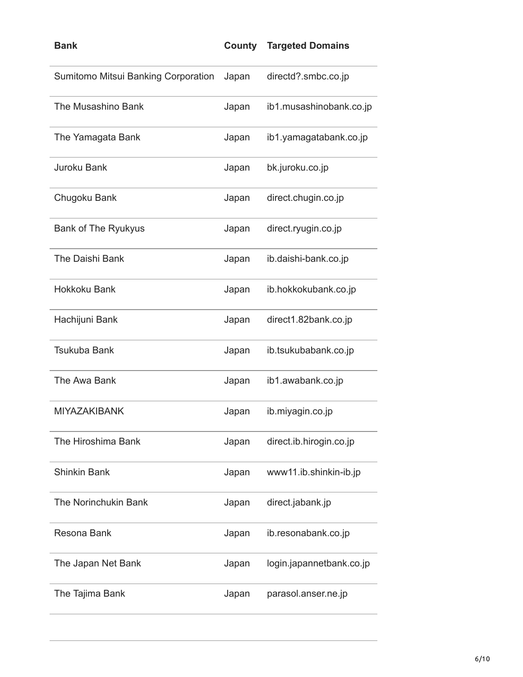| <b>Bank</b>                         | County | <b>Targeted Domains</b>  |
|-------------------------------------|--------|--------------------------|
| Sumitomo Mitsui Banking Corporation | Japan  | directd?.smbc.co.jp      |
| The Musashino Bank                  | Japan  | ib1.musashinobank.co.jp  |
| The Yamagata Bank                   | Japan  | ib1.yamagatabank.co.jp   |
| Juroku Bank                         | Japan  | bk.juroku.co.jp          |
| Chugoku Bank                        | Japan  | direct.chugin.co.jp      |
| <b>Bank of The Ryukyus</b>          | Japan  | direct.ryugin.co.jp      |
| The Daishi Bank                     | Japan  | ib.daishi-bank.co.jp     |
| <b>Hokkoku Bank</b>                 | Japan  | ib.hokkokubank.co.jp     |
| Hachijuni Bank                      | Japan  | direct1.82bank.co.jp     |
| <b>Tsukuba Bank</b>                 | Japan  | ib.tsukubabank.co.jp     |
| The Awa Bank                        | Japan  | ib1.awabank.co.jp        |
| <b>MIYAZAKIBANK</b>                 | Japan  | ib.miyagin.co.jp         |
| The Hiroshima Bank                  | Japan  | direct.ib.hirogin.co.jp  |
| <b>Shinkin Bank</b>                 | Japan  | www11.ib.shinkin-ib.jp   |
| The Norinchukin Bank                | Japan  | direct.jabank.jp         |
| Resona Bank                         | Japan  | ib.resonabank.co.jp      |
| The Japan Net Bank                  | Japan  | login.japannetbank.co.jp |
| The Tajima Bank                     | Japan  | parasol.anser.ne.jp      |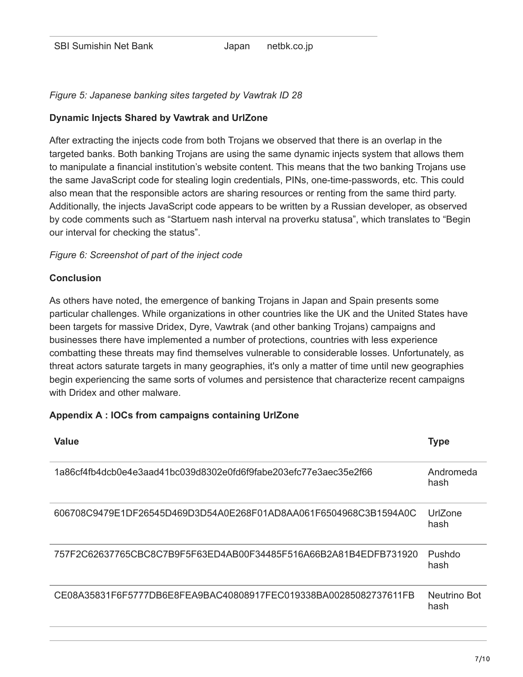### *Figure 5: Japanese banking sites targeted by Vawtrak ID 28*

#### **Dynamic Injects Shared by Vawtrak and UrlZone**

After extracting the injects code from both Trojans we observed that there is an overlap in the targeted banks. Both banking Trojans are using the same dynamic injects system that allows them to manipulate a financial institution's website content. This means that the two banking Trojans use the same JavaScript code for stealing login credentials, PINs, one-time-passwords, etc. This could also mean that the responsible actors are sharing resources or renting from the same third party. Additionally, the injects JavaScript code appears to be written by a Russian developer, as observed by code comments such as "Startuem nash interval na proverku statusa", which translates to "Begin our interval for checking the status".

#### *Figure 6: Screenshot of part of the inject code*

### **Conclusion**

As others have noted, the emergence of banking Trojans in Japan and Spain presents some particular challenges. While organizations in other countries like the UK and the United States have been targets for massive Dridex, Dyre, Vawtrak (and other banking Trojans) campaigns and businesses there have implemented a number of protections, countries with less experience combatting these threats may find themselves vulnerable to considerable losses. Unfortunately, as threat actors saturate targets in many geographies, it's only a matter of time until new geographies begin experiencing the same sorts of volumes and persistence that characterize recent campaigns with Dridex and other malware.

#### **Appendix A : IOCs from campaigns containing UrlZone**

| Value                                                            | <b>Type</b>          |
|------------------------------------------------------------------|----------------------|
| 1a86cf4fb4dcb0e4e3aad41bc039d8302e0fd6f9fabe203efc77e3aec35e2f66 | Andromeda<br>hash    |
| 606708C9479E1DF26545D469D3D54A0E268F01AD8AA061F6504968C3B1594A0C | UrlZone<br>hash      |
| 757E2C62637765CBC8C7B9E5E63ED4AB00E34485E516A66B2A81B4EDFB731920 | Pushdo<br>hash       |
| CE08A35831F6F5777DB6E8FEA9BAC40808917FEC019338BA00285082737611FB | Neutrino Bot<br>hash |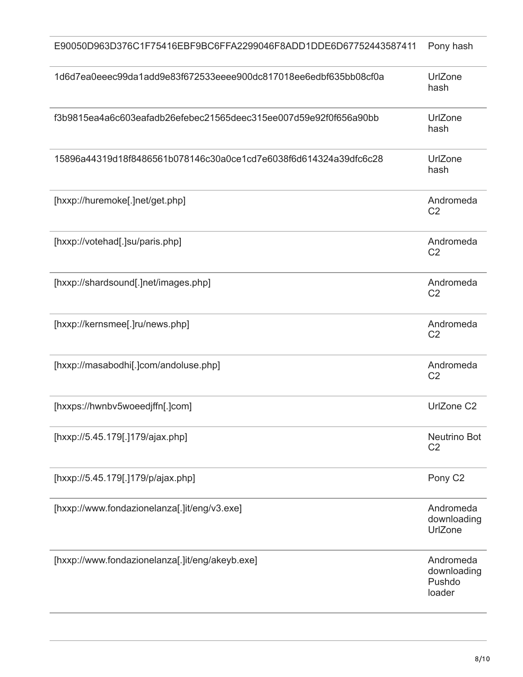| E90050D963D376C1F75416EBF9BC6FFA2299046F8ADD1DDE6D67752443587411 | Pony hash                                    |
|------------------------------------------------------------------|----------------------------------------------|
| 1d6d7ea0eeec99da1add9e83f672533eeee900dc817018ee6edbf635bb08cf0a | UrlZone<br>hash                              |
| f3b9815ea4a6c603eafadb26efebec21565deec315ee007d59e92f0f656a90bb | UrlZone<br>hash                              |
| 15896a44319d18f8486561b078146c30a0ce1cd7e6038f6d614324a39dfc6c28 | UrlZone<br>hash                              |
| [hxxp://huremoke[.]net/get.php]                                  | Andromeda<br>C <sub>2</sub>                  |
| [hxxp://votehad[.]su/paris.php]                                  | Andromeda<br>C <sub>2</sub>                  |
| [hxxp://shardsound[.]net/images.php]                             | Andromeda<br>C <sub>2</sub>                  |
| [hxxp://kernsmee[.]ru/news.php]                                  | Andromeda<br>C <sub>2</sub>                  |
| [hxxp://masabodhi[.]com/andoluse.php]                            | Andromeda<br>C <sub>2</sub>                  |
| [hxxps://hwnbv5woeedjffn[.]com]                                  | UrlZone C2                                   |
| [hxxp://5.45.179[.]179/ajax.php]                                 | <b>Neutrino Bot</b><br>C <sub>2</sub>        |
| [hxxp://5.45.179[.]179/p/ajax.php]                               | Pony C <sub>2</sub>                          |
| [hxxp://www.fondazionelanza[.]it/eng/v3.exe]                     | Andromeda<br>downloading<br>UrlZone          |
| [hxxp://www.fondazionelanza[.]it/eng/akeyb.exe]                  | Andromeda<br>downloading<br>Pushdo<br>loader |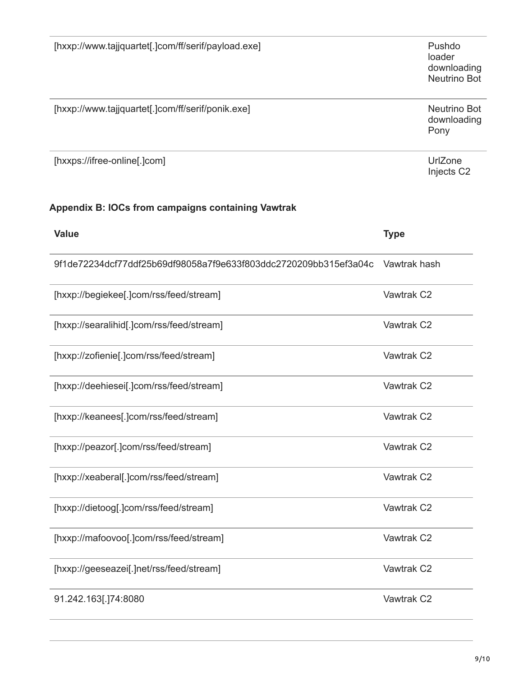| [hxxp://www.tajjquartet[.]com/ff/serif/payload.exe]              | Pushdo<br>loader<br>downloading<br>Neutrino Bot |
|------------------------------------------------------------------|-------------------------------------------------|
| [hxxp://www.tajjquartet[.]com/ff/serif/ponik.exe]                | <b>Neutrino Bot</b><br>downloading<br>Pony      |
| [hxxps://ifree-online[.]com]                                     | UrlZone<br>Injects C2                           |
| Appendix B: IOCs from campaigns containing Vawtrak               |                                                 |
| <b>Value</b>                                                     | <b>Type</b>                                     |
| 9f1de72234dcf77ddf25b69df98058a7f9e633f803ddc2720209bb315ef3a04c | Vawtrak hash                                    |
| [hxxp://begiekee[.]com/rss/feed/stream]                          | Vawtrak C2                                      |
| [hxxp://searalihid[.]com/rss/feed/stream]                        | Vawtrak C2                                      |
| [hxxp://zofienie[.]com/rss/feed/stream]                          | Vawtrak C2                                      |
| [hxxp://deehiesei[.]com/rss/feed/stream]                         | Vawtrak C2                                      |
| [hxxp://keanees[.]com/rss/feed/stream]                           | Vawtrak C <sub>2</sub>                          |
| [hxxp://peazor[.]com/rss/feed/stream]                            | Vawtrak C2                                      |
| [hxxp://xeaberal[.]com/rss/feed/stream]                          | Vawtrak C2                                      |
| [hxxp://dietoog[.]com/rss/feed/stream]                           | Vawtrak C2                                      |
| [hxxp://mafoovoo[.]com/rss/feed/stream]                          | Vawtrak C2                                      |
| [hxxp://geeseazei[.]net/rss/feed/stream]                         | Vawtrak C2                                      |
| 91.242.163[.]74:8080                                             | Vawtrak C2                                      |